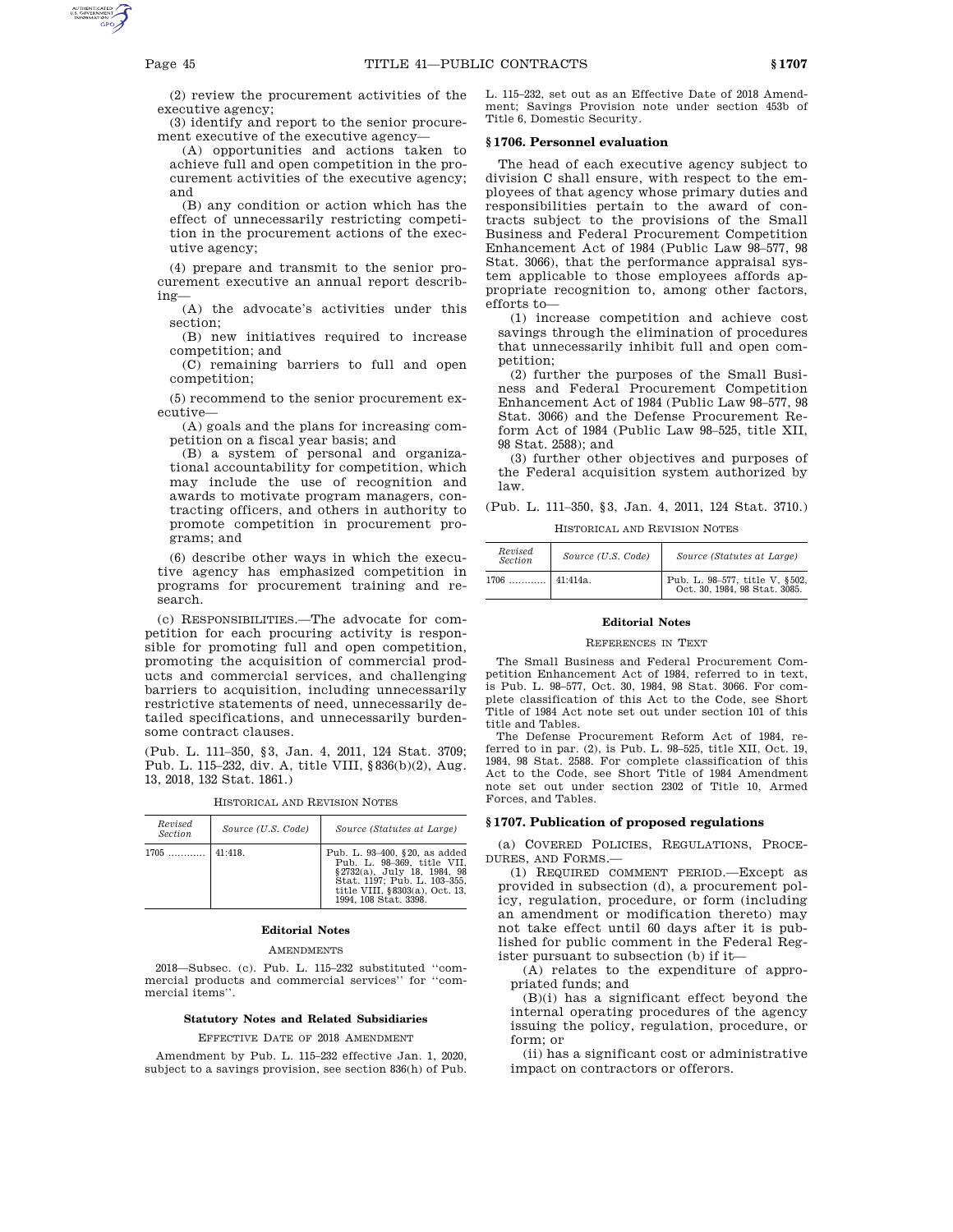(2) review the procurement activities of the executive agency;

(3) identify and report to the senior procurement executive of the executive agency—

(A) opportunities and actions taken to achieve full and open competition in the procurement activities of the executive agency; and

(B) any condition or action which has the effect of unnecessarily restricting competition in the procurement actions of the executive agency;

(4) prepare and transmit to the senior procurement executive an annual report describing—

(A) the advocate's activities under this section;

(B) new initiatives required to increase competition; and

(C) remaining barriers to full and open competition;

(5) recommend to the senior procurement executive—

(A) goals and the plans for increasing competition on a fiscal year basis; and

(B) a system of personal and organizational accountability for competition, which may include the use of recognition and awards to motivate program managers, contracting officers, and others in authority to promote competition in procurement programs; and

(6) describe other ways in which the executive agency has emphasized competition in programs for procurement training and research.

(c) RESPONSIBILITIES.—The advocate for competition for each procuring activity is responsible for promoting full and open competition, promoting the acquisition of commercial products and commercial services, and challenging barriers to acquisition, including unnecessarily restrictive statements of need, unnecessarily detailed specifications, and unnecessarily burdensome contract clauses.

(Pub. L. 111–350, §3, Jan. 4, 2011, 124 Stat. 3709; Pub. L. 115–232, div. A, title VIII, §836(b)(2), Aug. 13, 2018, 132 Stat. 1861.)

| Revised<br>Section | Source (U.S. Code) | Source (Statutes at Large)                                                                                                                                                                |
|--------------------|--------------------|-------------------------------------------------------------------------------------------------------------------------------------------------------------------------------------------|
| $1705$             | $141:418$ .        | Pub. L. 93-400, §20, as added<br>Pub. L. 98-369, title VII.<br>§ 2732(a), July 18, 1984, 98<br>Stat. 1197: Pub. L. 103-355.<br>title VIII, $§8303(a)$ , Oct. 13,<br>1994, 108 Stat. 3398. |

HISTORICAL AND REVISION NOTES

# **Editorial Notes**

AMENDMENTS

2018—Subsec. (c). Pub. L. 115–232 substituted ''commercial products and commercial services'' for ''commercial items''.

# **Statutory Notes and Related Subsidiaries**

EFFECTIVE DATE OF 2018 AMENDMENT

Amendment by Pub. L. 115–232 effective Jan. 1, 2020, subject to a savings provision, see section 836(h) of Pub. L. 115–232, set out as an Effective Date of 2018 Amendment; Savings Provision note under section 453b of Title 6, Domestic Security.

## **§ 1706. Personnel evaluation**

The head of each executive agency subject to division C shall ensure, with respect to the employees of that agency whose primary duties and responsibilities pertain to the award of contracts subject to the provisions of the Small Business and Federal Procurement Competition Enhancement Act of 1984 (Public Law 98–577, 98 Stat. 3066), that the performance appraisal system applicable to those employees affords appropriate recognition to, among other factors, efforts to—

(1) increase competition and achieve cost savings through the elimination of procedures that unnecessarily inhibit full and open competition;

(2) further the purposes of the Small Business and Federal Procurement Competition Enhancement Act of 1984 (Public Law 98–577, 98 Stat. 3066) and the Defense Procurement Reform Act of 1984 (Public Law 98–525, title XII, 98 Stat. 2588); and

(3) further other objectives and purposes of the Federal acquisition system authorized by law.

(Pub. L. 111–350, §3, Jan. 4, 2011, 124 Stat. 3710.)

HISTORICAL AND REVISION NOTES

| Revised<br><b>Section</b> | Source (U.S. Code) | Source (Statutes at Large)                                      |
|---------------------------|--------------------|-----------------------------------------------------------------|
| $1706$                    | $41:414a$ .        | Pub. L. 98-577, title V, §502,<br>Oct. 30, 1984, 98 Stat. 3085. |

#### **Editorial Notes**

#### REFERENCES IN TEXT

The Small Business and Federal Procurement Competition Enhancement Act of 1984, referred to in text, is Pub. L. 98–577, Oct. 30, 1984, 98 Stat. 3066. For complete classification of this Act to the Code, see Short Title of 1984 Act note set out under section 101 of this title and Tables.

The Defense Procurement Reform Act of 1984, referred to in par. (2), is Pub. L. 98–525, title XII, Oct. 19, 1984, 98 Stat. 2588. For complete classification of this Act to the Code, see Short Title of 1984 Amendment note set out under section 2302 of Title 10, Armed Forces, and Tables.

#### **§ 1707. Publication of proposed regulations**

(a) COVERED POLICIES, REGULATIONS, PROCE-DURES, AND FORMS.—

(1) REQUIRED COMMENT PERIOD.—Except as provided in subsection (d), a procurement policy, regulation, procedure, or form (including an amendment or modification thereto) may not take effect until 60 days after it is published for public comment in the Federal Register pursuant to subsection (b) if it—

(A) relates to the expenditure of appropriated funds; and

(B)(i) has a significant effect beyond the internal operating procedures of the agency issuing the policy, regulation, procedure, or form; or

(ii) has a significant cost or administrative impact on contractors or offerors.